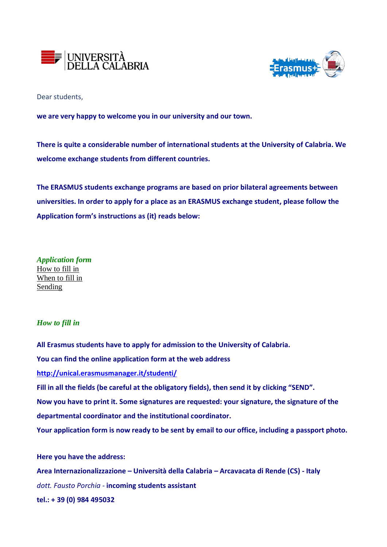



Dear students,

**we are very happy to welcome you in our university and our town.**

**There is quite a considerable number of international students at the University of Calabria. We welcome exchange students from different countries.**

**The ERASMUS students exchange programs are based on prior bilateral agreements between universities. In order to apply for a place as an ERASMUS exchange student, please follow the Application form's instructions as (it) reads below:**

*Application form* How to fill in When to fill in Sending

# *How to fill in*

**All Erasmus students have to apply for admission to the University of Calabria. You can find the online application form at the web address <http://unical.erasmusmanager.it/studenti/> Fill in all the fields (be careful at the obligatory fields), then send it by clicking "SEND". Now you have to print it. Some signatures are requested: your signature, the signature of the departmental coordinator and the institutional coordinator. Your application form is now ready to be sent by email to our office, including a passport photo.**

# **Here you have the address:**

**Area Internazionalizzazione – Università della Calabria – Arcavacata di Rende (CS) - Italy** *dott. Fausto Porchia -* **incoming students assistant tel.: + 39 (0) 984 495032**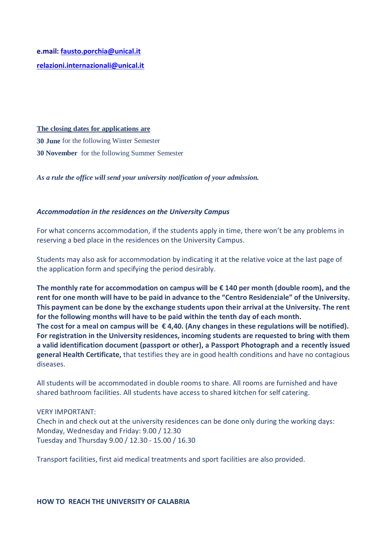**e.mail: [fausto.porchia@unical.it](mailto:fausto.porchia@unical.it)  [relazioni.internazionali@unical.it](mailto:relazioni.internazionali@unical.it)**

**The closing dates for applications are**

**30 June** for the following Winter Semester **30 November** for the following Summer Semester

*As a rule the office will send your university notification of your admission.*

## *Accommodation in the residences on the University Campus*

For what concerns accommodation, if the students apply in time, there won't be any problems in reserving a bed place in the residences on the University Campus.

Students may also ask for accommodation by indicating it at the relative voice at the last page of the application form and specifying the period desirably.

**The monthly rate for accommodation on campus will be € 140 per month (double room), and the rent for one month will have to be paid in advance to the "Centro Residenziale" of the University. This payment can be done by the exchange students upon their arrival at the University. The rent for the following months will have to be paid within the tenth day of each month. The cost for a meal on campus will be € 4,40. (Any changes in these regulations will be notified). For registration in the University residences, incoming students are requested to bring with them a valid identification document (passport or other), a Passport Photograph and a recently issued general Health Certificate,** that testifies they are in good health conditions and have no contagious diseases.

All students will be accommodated in double rooms to share. All rooms are furnished and have shared bathroom facilities. All students have access to shared kitchen for self catering.

VERY IMPORTANT: Chech in and check out at the university residences can be done only during the working days: Monday, Wednesday and Friday: 9.00 / 12.30 Tuesday and Thursday 9.00 / 12.30 - 15.00 / 16.30

Transport facilities, first aid medical treatments and sport facilities are also provided.

#### **HOW TO REACH THE UNIVERSITY OF CALABRIA**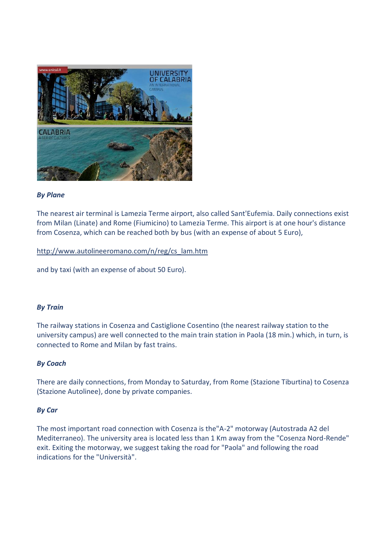

## *By Plane*

The nearest air terminal is Lamezia Terme airport, also called Sant'Eufemia. Daily connections exist from Milan (Linate) and Rome (Fiumicino) to Lamezia Terme. This airport is at one hour's distance from Cosenza, which can be reached both by bus (with an expense of about 5 Euro),

## [http://www.autolineeromano.com/n/reg/cs\\_lam.htm](http://www.autolineeromano.com/n/reg/cs_lam.htm)

and by taxi (with an expense of about 50 Euro).

## *By Train*

The railway stations in Cosenza and Castiglione Cosentino (the nearest railway station to the university campus) are well connected to the main train station in Paola (18 min.) which, in turn, is connected to Rome and Milan by fast trains.

## *By Coach*

There are daily connections, from Monday to Saturday, from Rome (Stazione Tiburtina) to Cosenza (Stazione Autolinee), done by private companies.

## *By Car*

The most important road connection with Cosenza is the"A-2" motorway (Autostrada A2 del Mediterraneo). The university area is located less than 1 Km away from the "Cosenza Nord-Rende" exit. Exiting the motorway, we suggest taking the road for "Paola" and following the road indications for the "Università".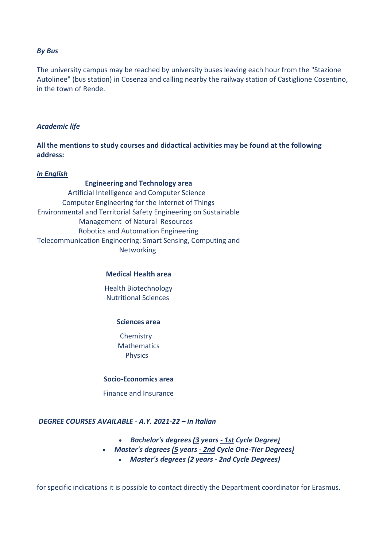#### *By Bus*

The university campus may be reached by university buses leaving each hour from the "Stazione Autolinee" (bus station) in Cosenza and calling nearby the railway station of Castiglione Cosentino, in the town of Rende.

## *Academic life*

**All the mentions to study courses and didactical activities may be found at the following address:**

#### *in English*

**Engineering and Technology area** [Artificial Intelligence and Computer Science](https://www.unical.it/portale/ateneo/international/studenti/unicaladmission/ai) [Computer Engineering for the Internet of Things](https://www.unical.it/portale/ateneo/international/studenti/unicaladmission/computerengineering) [Environmental and Territorial Safety Engineering on Sustainable](https://www.unical.it/portale/ateneo/international/studenti/unicaladmission/environmental/)  [Management](https://www.unical.it/portale/ateneo/international/studenti/unicaladmission/environmental/) of Natural [Resources](https://www.unical.it/portale/ateneo/international/studenti/unicaladmission/environmental/)  [Robotics and Automation Engineering](https://www.unical.it/portale/ateneo/international/studenti/unicaladmission/roboticsautomation/) [Telecommunication Engineering: Smart Sensing, Computing and](https://www.unical.it/portale/ateneo/international/studenti/unicaladmission/Telecommunication)  [Networking](https://www.unical.it/portale/ateneo/international/studenti/unicaladmission/Telecommunication)

#### **Medical Health area**

[Health Biotechnology](https://www.unical.it/portale/ateneo/international/studenti/unicaladmission/healthbiotechnology/) [Nutritional Sciences](https://www.unical.it/portale/ateneo/international/studenti/unicaladmission/nutritionalsciences)

#### **Sciences area**

[Chemistry](https://www.unical.it/portale/ateneo/international/studenti/unicaladmission/www.unical.it/portale/ateneo/international/studenti/unicaladmission/Chemistry) [Mathematics](https://www.unical.it/portale/ateneo/international/studenti/unicaladmission/Mathematics) **[Physics](https://www.unical.it/portale/ateneo/international/studenti/unicaladmission/www.unical.it/portale/ateneo/international/studenti/unicaladmission/Physics)** 

#### **Socio-Economics area**

[Finance and Insurance](https://www.unical.it/portale/ateneo/international/studenti/unicaladmission/www.unical.it/portale/ateneo/international/studenti/unicaladmission/financeandinsurance/)

## *DEGREE COURSES AVAILABLE - A.Y. 2021-22 – in Italian*

- *[Bachelor's](https://www.unical.it/portale/ateneo/international/studenti/unicaladmission/list_of_courses/Bachelor/) degrees (3 years - 1st Cycle Degree)*
- *Master's degrees (5 years - 2nd Cycle One-Tier [Degrees\)](https://www.unical.it/portale/ateneo/international/studenti/unicaladmission/list_of_courses/master_5/)*
	- *Master's degrees (2 years - 2nd Cycle [Degrees\)](https://www.unical.it/portale/ateneo/international/studenti/unicaladmission/list_of_courses/Master_2/)*

for specific indications it is possible to contact directly the Department coordinator for Erasmus.